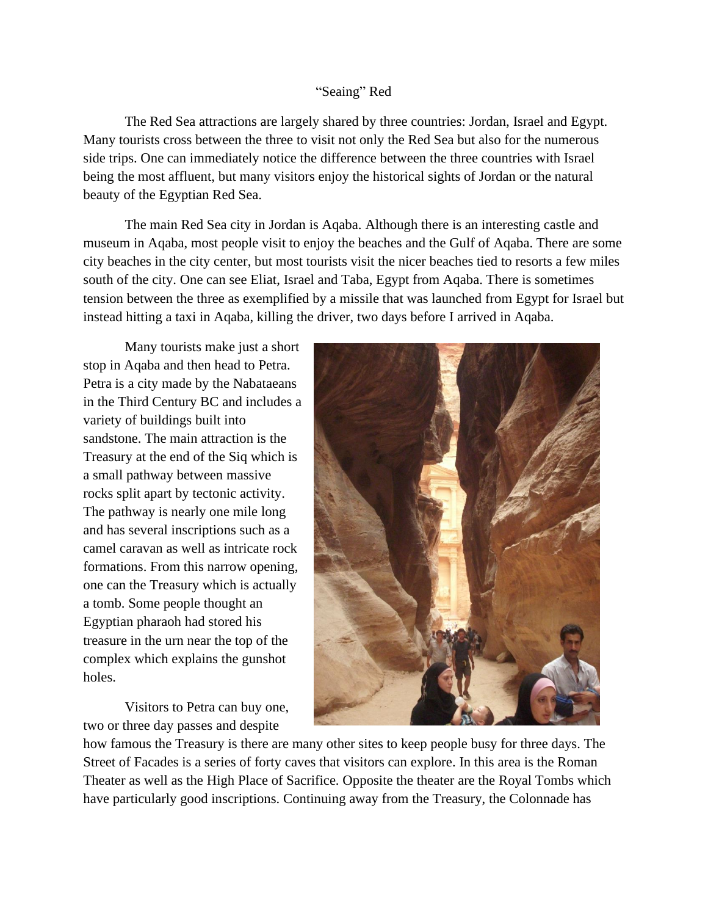## "Seaing" Red

The Red Sea attractions are largely shared by three countries: Jordan, Israel and Egypt. Many tourists cross between the three to visit not only the Red Sea but also for the numerous side trips. One can immediately notice the difference between the three countries with Israel being the most affluent, but many visitors enjoy the historical sights of Jordan or the natural beauty of the Egyptian Red Sea.

The main Red Sea city in Jordan is Aqaba. Although there is an interesting castle and museum in Aqaba, most people visit to enjoy the beaches and the Gulf of Aqaba. There are some city beaches in the city center, but most tourists visit the nicer beaches tied to resorts a few miles south of the city. One can see Eliat, Israel and Taba, Egypt from Aqaba. There is sometimes tension between the three as exemplified by a missile that was launched from Egypt for Israel but instead hitting a taxi in Aqaba, killing the driver, two days before I arrived in Aqaba.

Many tourists make just a short stop in Aqaba and then head to Petra. Petra is a city made by the Nabataeans in the Third Century BC and includes a variety of buildings built into sandstone. The main attraction is the Treasury at the end of the Siq which is a small pathway between massive rocks split apart by tectonic activity. The pathway is nearly one mile long and has several inscriptions such as a camel caravan as well as intricate rock formations. From this narrow opening, one can the Treasury which is actually a tomb. Some people thought an Egyptian pharaoh had stored his treasure in the urn near the top of the complex which explains the gunshot holes.

Visitors to Petra can buy one, two or three day passes and despite



how famous the Treasury is there are many other sites to keep people busy for three days. The Street of Facades is a series of forty caves that visitors can explore. In this area is the Roman Theater as well as the High Place of Sacrifice. Opposite the theater are the Royal Tombs which have particularly good inscriptions. Continuing away from the Treasury, the Colonnade has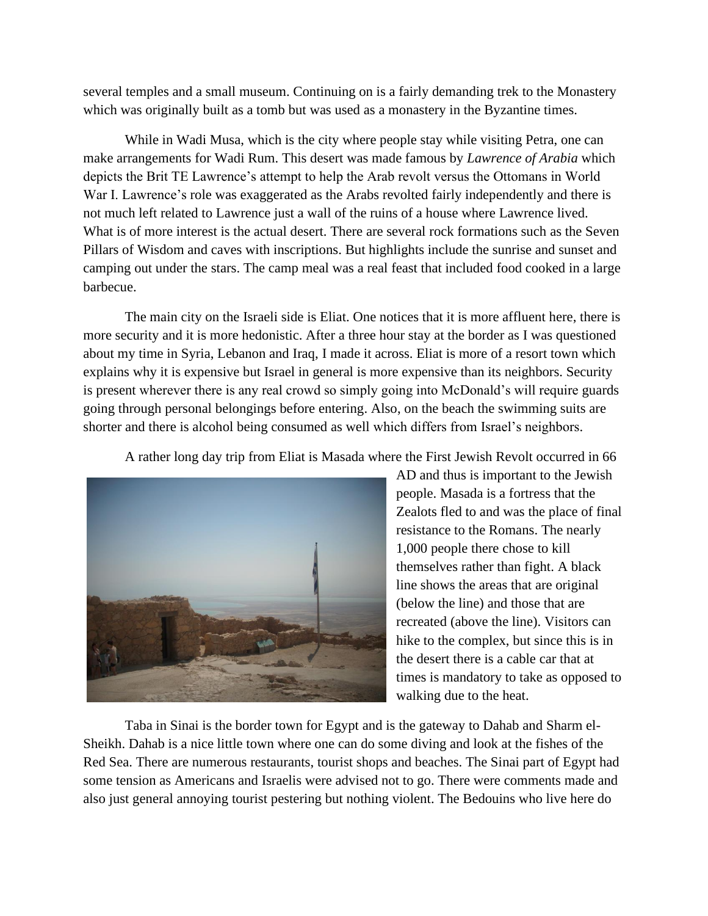several temples and a small museum. Continuing on is a fairly demanding trek to the Monastery which was originally built as a tomb but was used as a monastery in the Byzantine times.

While in Wadi Musa, which is the city where people stay while visiting Petra, one can make arrangements for Wadi Rum. This desert was made famous by *Lawrence of Arabia* which depicts the Brit TE Lawrence's attempt to help the Arab revolt versus the Ottomans in World War I. Lawrence's role was exaggerated as the Arabs revolted fairly independently and there is not much left related to Lawrence just a wall of the ruins of a house where Lawrence lived. What is of more interest is the actual desert. There are several rock formations such as the Seven Pillars of Wisdom and caves with inscriptions. But highlights include the sunrise and sunset and camping out under the stars. The camp meal was a real feast that included food cooked in a large barbecue.

The main city on the Israeli side is Eliat. One notices that it is more affluent here, there is more security and it is more hedonistic. After a three hour stay at the border as I was questioned about my time in Syria, Lebanon and Iraq, I made it across. Eliat is more of a resort town which explains why it is expensive but Israel in general is more expensive than its neighbors. Security is present wherever there is any real crowd so simply going into McDonald's will require guards going through personal belongings before entering. Also, on the beach the swimming suits are shorter and there is alcohol being consumed as well which differs from Israel's neighbors.

A rather long day trip from Eliat is Masada where the First Jewish Revolt occurred in 66



AD and thus is important to the Jewish people. Masada is a fortress that the Zealots fled to and was the place of final resistance to the Romans. The nearly 1,000 people there chose to kill themselves rather than fight. A black line shows the areas that are original (below the line) and those that are recreated (above the line). Visitors can hike to the complex, but since this is in the desert there is a cable car that at times is mandatory to take as opposed to walking due to the heat.

Taba in Sinai is the border town for Egypt and is the gateway to Dahab and Sharm el-Sheikh. Dahab is a nice little town where one can do some diving and look at the fishes of the Red Sea. There are numerous restaurants, tourist shops and beaches. The Sinai part of Egypt had some tension as Americans and Israelis were advised not to go. There were comments made and also just general annoying tourist pestering but nothing violent. The Bedouins who live here do